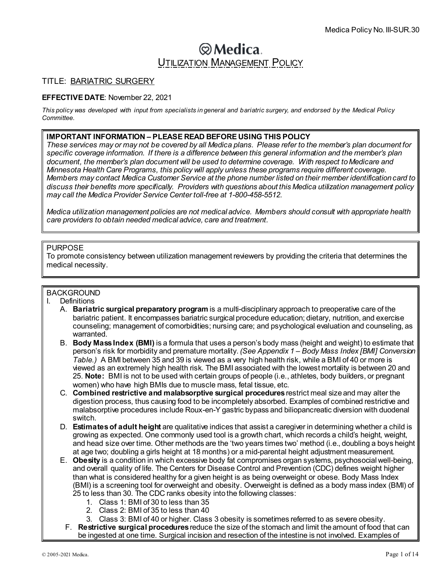# **@Medica**. **UTILIZATION MANAGEMENT POLICY**

# TITLE: BARIATRIC SURGERY

## **EFFECTIVE DATE**: November 22, 2021

*This policy was developed with input from specialists in general and bariatric surgery, and endorsed by the Medical Policy Committee*.

#### **IMPORTANT INFORMATION – PLEASE READ BEFORE USING THIS POLICY**

*These services may or may not be covered by all Medica plans. Please refer to the member's plan document for specific coverage information. If there is a difference between this general information and the member's plan document, the member's plan document will be used to determine coverage. With respect to Medicare and Minnesota Health Care Programs, this policy will apply unless these programs require different coverage. Members may contact Medica Customer Service at the phone number listed on their member identification card to discuss their benefits more specifically. Providers with questions about this Medica utilization management policy may call the Medica Provider Service Center toll-free at 1-800-458-5512.*

*Medica utilization management policies are not medical advice. Members should consult with appropriate health care providers to obtain needed medical advice, care and treatment.*

#### PURPOSE

To promote consistency between utilization management reviewers by providing the criteria that determines the medical necessity.

# **BACKGROUND**

- I. Definitions
	- A. **Bariatric surgical preparatory program** is a multi-disciplinary approach to preoperative care of the bariatric patient. It encompasses bariatric surgical procedure education; dietary, nutrition, and exercise counseling; management of comorbidities; nursing care; and psychological evaluation and counseling, as warranted.
		- B. **Body Mass Index (BMI)** is a formula that uses a person's body mass (height and weight) to estimate that person's risk for morbidity and premature mortality. *(See Appendix 1 – Body Mass Index [BMI] Conversion Table.)* A BMI between 35 and 39 is viewed as a very high health risk, while a BMI of 40 or more is viewed as an extremely high health risk. The BMI associated with the lowest mortality is between 20 and 25. **Note:** BMI is not to be used with certain groups of people (i.e., athletes, body builders, or pregnant women) who have high BMIs due to muscle mass, fetal tissue, etc.
		- C. **Combined restrictive and malabsorptive surgical procedures** restrict meal size and may alter the digestion process, thus causing food to be incompletely absorbed. Examples of combined restrictive and malabsorptive procedures include Roux-en-Y gastric bypass and biliopancreatic diversion with duodenal switch.
		- D. **Estimatesof adult height** are qualitative indices that assist a caregiver in determining whether a child is growing as expected. One commonly used tool is a growth chart, which records a child's height, weight, and head size over time. Other methods are the 'two years times two' method (i.e., doubling a boys height at age two; doubling a girls height at 18 months) or a mid-parental height adjustment measurement.
		- E. **Obesity** is a condition in which excessive body fat compromises organ systems, psychosocial well-being, and overall quality of life. The Centers for Disease Control and Prevention (CDC) defines weight higher than what is considered healthy for a given height is as being overweight or obese. Body Mass Index (BMI) is a screening tool for overweight and obesity. Overweight is defined as a body mass index (BMI) of 25 to less than 30. The CDC ranks obesity into the following classes:
			- 1. Class 1: BMI of 30 to less than 35
			- 2. Class 2: BMI of 35 to less than 40
			- 3. Class 3: BMI of 40 or higher. Class 3 obesity is sometimes referred to as severe obesity.
			- F. **Restrictive surgical procedures**reduce the size of the stomach and limit the amount of food that can be ingested at one time. Surgical incision and resection of the intestine is not involved. Examples of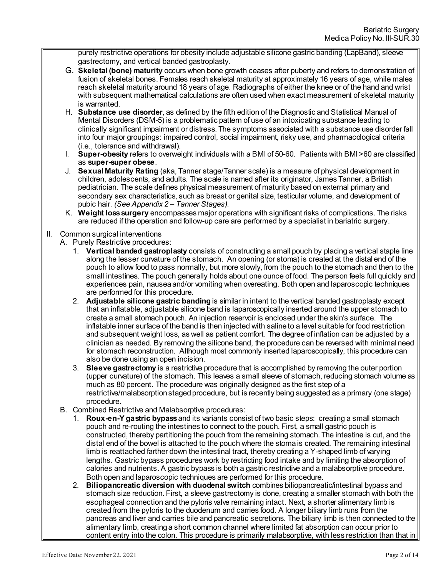purely restrictive operations for obesity include adjustable silicone gastric banding (LapBand), sleeve gastrectomy, and vertical banded gastroplasty.

- G. **Skeletal (bone) maturity** occurs when bone growth ceases after puberty and refers to demonstration of fusion of skeletal bones. Females reach skeletal maturity at approximately 16 years of age, while males reach skeletal maturity around 18 years of age. Radiographs of either the knee or of the hand and wrist with subsequent mathematical calculations are often used when exact measurement of skeletal maturity is warranted.
- H. **Substance use disorder**, as defined by the fifth edition of the Diagnostic and Statistical Manual of Mental Disorders (DSM-5) is a problematic pattern of use of an intoxicating substance leading to clinically significant impairment or distress. The symptoms associated with a substance use disorder fall into four major groupings: impaired control, social impairment, risky use, and pharmacological criteria (i.e., tolerance and withdrawal).
- I. **Super-obesity** refers to overweight individuals with a BMI of 50-60. Patients with BMI >60 are classified as **super-super obese**.
- J. **Sexual Maturity Rating** (aka, Tanner stage/Tanner scale) is a measure of physical development in children, adolescents, and adults. The scale is named after its originator, James Tanner, a British pediatrician. The scale defines physical measurement of maturity based on external primary and secondary sex characteristics, such as breast or genital size, testicular volume, and development of pubic hair. *(See Appendix 2 – Tanner Stages).*
- K. **Weight loss surgery** encompasses major operations with significant risks of complications. The risks are reduced if the operation and follow-up care are performed by a specialist in bariatric surgery.

## II. Common surgical interventions

- A. Purely Restrictive procedures:
	- 1. **Vertical banded gastroplasty** consists of constructing a small pouch by placing a vertical staple line along the lesser curvature of the stomach. An opening (or stoma) is created at the distal end of the pouch to allow food to pass normally, but more slowly, from the pouch to the stomach and then to the small intestines. The pouch generally holds about one ounce of food. The person feels full quickly and experiences pain, nausea and/or vomiting when overeating. Both open and laparoscopic techniques are performed for this procedure.
	- 2. **Adjustable silicone gastric banding** is similar in intent to the vertical banded gastroplasty except that an inflatable, adjustable silicone band is laparoscopically inserted around the upper stomach to create a small stomach pouch. An injection reservoir is enclosed under the skin's surface. The inflatable inner surface of the band is then injected with saline to a level suitable for food restriction and subsequent weight loss, as well as patient comfort. The degree of inflation can be adjusted by a clinician as needed. By removing the silicone band, the procedure can be reversed with minimal need for stomach reconstruction. Although most commonly inserted laparoscopically, this procedure can also be done using an open incision.
	- 3. **Sleeve gastrectomy** is a restrictive procedure that is accomplished by removing the outer portion (upper curvature) of the stomach. This leaves a small sleeve of stomach, reducing stomach volume as much as 80 percent. The procedure was originally designed as the first step of a restrictive/malabsorption staged procedure, but is recently being suggested as a primary (one stage) procedure.
- B. Combined Restrictive and Malabsorptive procedures:
	- 1. **Roux-en-Y gastric bypass**and its variants consist of two basic steps: creating a small stomach pouch and re-routing the intestines to connect to the pouch. First, a small gastric pouch is constructed, thereby partitioning the pouch from the remaining stomach. The intestine is cut, and the distal end of the bowel is attached to the pouch where the stoma is created. The remaining intestinal limb is reattached farther down the intestinal tract, thereby creating a Y-shaped limb of varying lengths. Gastric bypass procedures work by restricting food intake and by limiting the absorption of calories and nutrients. A gastric bypass is both a gastric restrictive and a malabsorptive procedure. Both open and laparoscopic techniques are performed for this procedure.
	- 2. **Biliopancreatic diversion with duodenal switch** combines biliopancreatic/intestinal bypass and stomach size reduction. First, a sleeve gastrectomy is done, creating a smaller stomach with both the esophageal connection and the pyloris valve remaining intact. Next, a shorter alimentary limb is created from the pyloris to the duodenum and carries food. A longer biliary limb runs from the pancreas and liver and carries bile and pancreatic secretions. The biliary limb is then connected to the alimentary limb, creating a short common channel where limited fat absorption can occur prior to content entry into the colon. This procedure is primarily malabsorptive, with less restriction than that in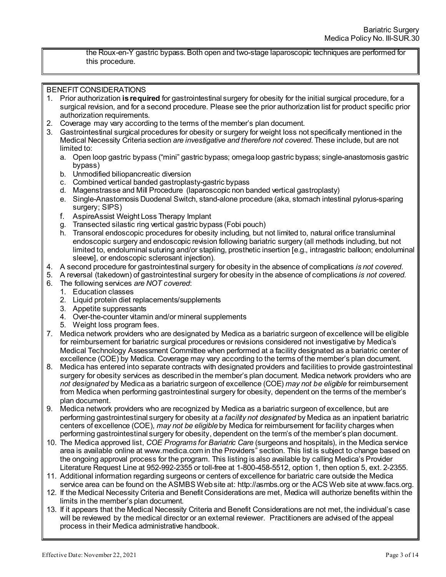the Roux-en-Y gastric bypass. Both open and two-stage laparoscopic techniques are performed for this procedure.

## BENEFIT CONSIDERATIONS

- 1. Prior authorization **is required** for gastrointestinal surgery for obesity for the initial surgical procedure, for a surgical revision, and for a second procedure. Please see the prior authorization list for product specific prior authorization requirements.
- 2. Coverage may vary according to the terms of the member's plan document.
- 3. Gastrointestinal surgical procedures for obesity or surgery for weight loss not specifically mentioned in the Medical Necessity Criteria section *are investigative and therefore not covered*. These include, but are not limited to:
	- a. Open loop gastric bypass ("mini" gastric bypass; omega loop gastric bypass; single-anastomosis gastric bypass)
	- b. Unmodified biliopancreatic diversion
	- c. Combined vertical banded gastroplasty-gastric bypass
	- d. Magenstrasse and Mill Procedure (laparoscopic non banded vertical gastroplasty)
	- e. Single-Anastomosis Duodenal Switch, stand-alone procedure (aka, stomach intestinal pylorus-sparing surgery; SIPS)
	- f. AspireAssist Weight Loss Therapy Implant
	- g. Transected silastic ring vertical gastric bypass (Fobi pouch)
	- h. Transoral endoscopic procedures for obesity including, but not limited to, natural orifice transluminal endoscopic surgery and endoscopic revision following bariatric surgery (all methods including, but not limited to, endoluminal suturing and/or stapling, prosthetic insertion [e.g., intragastric balloon; endoluminal sleeve], or endoscopic sclerosant injection).
- 4. A second procedure for gastrointestinal surgery for obesity in the absence of complications *is not covered*.
- 5. A reversal (takedown) of gastrointestinal surgery for obesity in the absence of complications *is not covered.*
- 6. The following services *are NOT covered*:
	- 1. Education classes
	- 2. Liquid protein diet replacements/supplements
	- 3. Appetite suppressants
	- 4. Over-the-counter vitamin and/or mineral supplements
	- 5. Weight loss program fees.
- 7. Medica network providers who are designated by Medica as a bariatric surgeon of excellence will be eligible for reimbursement for bariatric surgical procedures or revisions considered not investigative by Medica's Medical Technology Assessment Committee when performed at a facility designated as a bariatric center of excellence (COE) by Medica. Coverage may vary according to the terms of the member's plan document.
- 8. Medica has entered into separate contracts with designated providers and facilities to provide gastrointestinal surgery for obesity services as described in the member's plan document. Medica network providers who are *not designated* by Medica as a bariatric surgeon of excellence (COE) *may not be eligible* for reimbursement from Medica when performing gastrointestinal surgery for obesity, dependent on the terms of the member's plan document.
- 9. Medica network providers who are recognized by Medica as a bariatric surgeon of excellence, but are performing gastrointestinal surgery for obesity at *a facility not designated* by Medica as an inpatient bariatric centers of excellence (COE), *may not be eligible* by Medica for reimbursement for facility charges when performing gastrointestinal surgery for obesity, dependent on the term's of the member's plan document.
- 10. The Medica approved list, *COE Programs for Bariatric Care* (surgeons and hospitals), in the Medica service area is available online a[t www.medica.com](http://www.medica.com/) in the Providers" section. This list is subject to change based on the ongoing approval process for the program. This listing is also available by calling Medica's Provider Literature Request Line at 952-992-2355 or toll-free at 1-800-458-5512, option 1, then option 5, ext. 2-2355.
- 11. Additional information regarding surgeons or centers of excellence for bariatric care outside the Medica service area can be found on the ASMBS Web site at[: http://asmbs.org](http://asmbs.org/) or the ACS Web site [at www.facs.org](http://www.facs.org/).
- 12. If the Medical Necessity Criteria and Benefit Considerations are met, Medica will authorize benefits within the limits in the member's plan document.
- 13. If it appears that the Medical Necessity Criteria and Benefit Considerations are not met, the individual's case will be reviewed by the medical director or an external reviewer. Practitioners are advised of the appeal process in their Medica administrative handbook.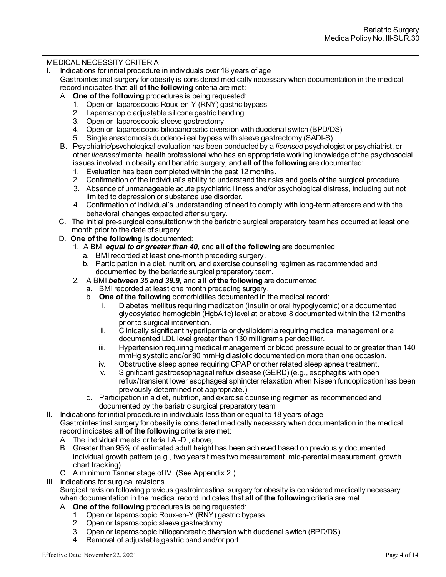# MEDICAL NECESSITY CRITERIA

- I. Indications for initial procedure in individuals over 18 years of age
- Gastrointestinal surgery for obesity is considered medically necessary when documentation in the medical record indicates that **all of the following** criteria are met:
	- A. **One of the following** procedures is being requested:
		- 1. Open or laparoscopic Roux-en-Y (RNY) gastric bypass
		- 2. Laparoscopic adjustable silicone gastric banding
		- 3. Open or laparoscopic sleeve gastrectomy
		- 4. Open or laparoscopic biliopancreatic diversion with duodenal switch (BPD/DS)
		- 5. Single anastomosis duodeno-ileal bypass with sleeve gastrectomy (SADI-S).
	- B. Psychiatric/psychological evaluation has been conducted by a *licensed* psychologist or psychiatrist, or other *licensed* mental health professional who has an appropriate working knowledge of the psychosocial issues involved in obesity and bariatric surgery, and **all of the following** are documented:
		- 1. Evaluation has been completed within the past 12 months.
		- 2. Confirmation of the individual's ability to understand the risks and goals of the surgical procedure.
		- 3. Absence of unmanageable acute psychiatric illness and/or psychological distress, including but not limited to depression or substance use disorder.
		- 4. Confirmation of individual's understanding of need to comply with long-term aftercare and with the behavioral changes expected after surgery.
	- C. The initial pre-surgical consultation with the bariatric surgical preparatory team has occurred at least one month prior to the date of surgery.
	- D. **One of the following** is documented:
		- 1. A BMI *equal to or greater than 40*, and **all of the following** are documented:
			- a. BMI recorded at least one-month preceding surgery.
			- b. Participation in a diet, nutrition, and exercise counseling regimen as recommended and documented by the bariatric surgical preparatory team**.**
		- 2. A BMI *between 35 and 39.9*, and **all of the following** are documented:
			- a. BMI recorded at least one month preceding surgery.
			- b. **One of the following** comorbidities documented in the medical record:
				- i. Diabetes mellitus requiring medication (insulin or oral hypoglycemic) or a documented glycosylated hemoglobin (HgbA1c) level at or above 8 documented within the 12 months prior to surgical intervention.
				- ii. Clinically significant hyperlipemia or dyslipidemia requiring medical management or a documented LDL level greater than 130 milligrams per deciliter.
				- iii. Hypertension requiring medical management or blood pressure equal to or greater than 140 mmHg systolic and/or 90 mmHg diastolic documented on more than one occasion.
				- iv. Obstructive sleep apnea requiring CPAP or other related sleep apnea treatment.
				- v. Significant gastroesophageal reflux disease (GERD) (e.g., esophagitis with open reflux/transient lower esophageal sphincter relaxation when Nissen fundoplication has been previously determined not appropriate.)
			- c. Participation in a diet, nutrition, and exercise counseling regimen as recommended and documented by the bariatric surgical preparatory team.
- II. Indications for initial procedure in individuals less than or equal to 18 years of age Gastrointestinal surgery for obesity is considered medically necessary when documentation in the medical record indicates **all of the following** criteria are met:
	- A. The individual meets criteria I.A.-D., above,
	- B. Greater than 95% of estimated adult height has been achieved based on previously documented individual growth pattern (e.g., two years times two measurement, mid-parental measurement, growth chart tracking)
	- C. A minimum Tanner stage of IV. (See Appendix 2.)
- III. Indications for surgical revisions

Surgical revision following previous gastrointestinal surgery for obesity is considered medically necessary when documentation in the medical record indicates that **all of the following** criteria are met:

- A. **One of the following** procedures is being requested:
	- 1. Open or laparoscopic Roux-en-Y (RNY) gastric bypass
	- 2. Open or laparoscopic sleeve gastrectomy
	- 3. Open or laparoscopic biliopancreatic diversion with duodenal switch (BPD/DS)
	- Removal of adjustable gastric band and/or port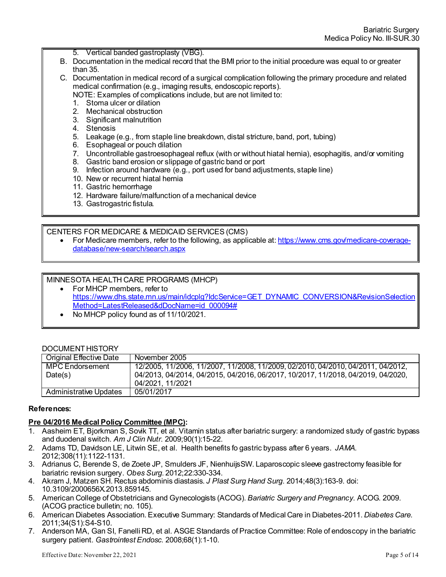- 5. Vertical banded gastroplasty (VBG).
- B. Documentation in the medical record that the BMI prior to the initial procedure was equal to or greater than 35.
- C. Documentation in medical record of a surgical complication following the primary procedure and related medical confirmation (e.g., imaging results, endoscopic reports).
	- NOTE: Examples of complications include, but are not limited to:
	- 1. Stoma ulcer or dilation
	- 2. Mechanical obstruction
	- 3. Significant malnutrition
	- 4. Stenosis
	- 5. Leakage (e.g., from staple line breakdown, distal stricture, band, port, tubing)
	- 6. Esophageal or pouch dilation
	- 7. Uncontrollable gastroesophageal reflux (with or without hiatal hernia), esophagitis, and/or vomiting
	- 8. Gastric band erosion or slippage of gastric band or port
	- 9. Infection around hardware (e.g., port used for band adjustments, staple line)
	- 10. New or recurrent hiatal hernia
	- 11. Gastric hemorrhage
	- 12. Hardware failure/malfunction of a mechanical device
	- 13. Gastrogastric fistula.

#### CENTERS FOR MEDICARE & MEDICAID SERVICES (CMS)

• For Medicare members, refer to the following, as applicable at[: https://www.cms.gov/medicare-coverage](https://www.cms.gov/medicare-coverage-database/new-search/search.aspx)[database/new-search/search.aspx](https://www.cms.gov/medicare-coverage-database/new-search/search.aspx)

#### MINNESOTA HEALTH CARE PROGRAMS (MHCP)

- For MHCP members, refer to [https://www.dhs.state.mn.us/main/idcplg?IdcService=GET\\_DYNAMIC\\_CONVERSION&RevisionSelection](https://www.dhs.state.mn.us/main/idcplg?IdcService=GET_DYNAMIC_CONVERSION&RevisionSelectionMethod=LatestReleased&dDocName=id_000094) [Method=LatestReleased&dDocName=id\\_000094#](https://www.dhs.state.mn.us/main/idcplg?IdcService=GET_DYNAMIC_CONVERSION&RevisionSelectionMethod=LatestReleased&dDocName=id_000094)
- No MHCP policy found as of 11/10/2021.

## DOCUMENT HISTORY

| <b>Original Effective Date</b> | November 2005                                                                    |
|--------------------------------|----------------------------------------------------------------------------------|
| MPC Endorsement                | 12/2005, 11/2006, 11/2007, 11/2008, 11/2009, 02/2010, 04/2010, 04/2011, 04/2012, |
| Date(s)                        | 04/2013, 04/2014, 04/2015, 04/2016, 06/2017, 10/2017, 11/2018, 04/2019, 04/2020, |
|                                | 04/2021, 11/2021                                                                 |
| Administrative Updates         | 05/01/2017                                                                       |

#### **References:**

 $\overline{a}$ 

## **Pre 04/2016 Medical Policy Committee (MPC):**

- 1. Aasheim ET, Bjorkman S, Sovik TT, et al. Vitamin status after bariatric surgery: a randomized study of gastric bypass and duodenal switch. *Am J Clin Nutr*. 2009;90(1):15-22.
- 2. Adams TD, Davidson LE, Litwin SE, et al. Health benefits fo gastric bypass after 6 years. *JAMA*. 2012;308(11):1122-1131.
- 3. Adrianus C, Berende S, de Zoete JP, Smulders JF, NienhuijsSW. Laparoscopic sleeve gastrectomy feasible for bariatric revision surgery. *Obes Surg*. 2012;22:330-334.
- 4. Akram J, Matzen SH. Rectus abdominis diastasis. *J Plast Surg Hand Surg*. 2014;48(3):163-9. doi: 10.3109/2000656X.2013.859145.
- 5. American College of Obstetricians and Gynecologists (ACOG). *Bariatric Surgery and Pregnancy*. ACOG. 2009. (ACOG practice bulletin; no. 105).
- 6. American Diabetes Association. Executive Summary: Standards of Medical Care in Diabetes-2011. *Diabetes Care.* 2011;34(S1):S4-S10.
- 7. Anderson MA, Gan SI, Fanelli RD, et al. ASGE Standards of Practice Committee: Role of endoscopy in the bariatric surgery patient. *Gastrointest Endosc*. 2008;68(1):1-10.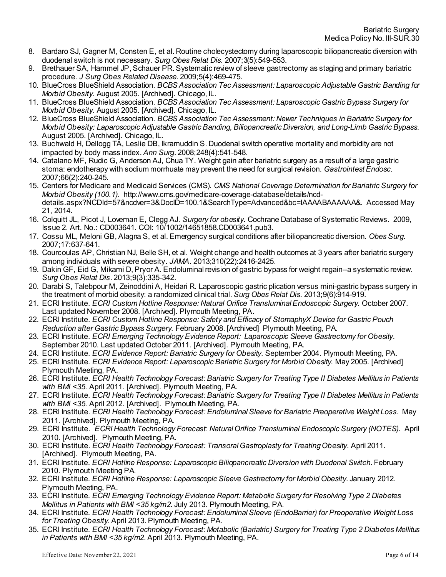- 8. Bardaro SJ, Gagner M, Consten E, et al. Routine cholecystectomy during laparoscopic biliopancreatic diversion with duodenal switch is not necessary. *Surg Obes Relat Dis*. 2007;3(5):549-553.
- 9. Brethauer SA, Hammel JP, Schauer PR. Systematic review of sleeve gastrectomy as staging and primary bariatric procedure. *J Surg Obes Related Disease*. 2009;5(4):469-475.
- 10. BlueCross BlueShield Association. *BCBS Association Tec Assessment: Laparoscopic Adjustable Gastric Banding for Morbid Obesity*. August 2005. [Archived]. Chicago, IL.
- 11. BlueCross BlueShield Association. *BCBS Association Tec Assessment: Laparoscopic Gastric Bypass Surgery for Morbid Obesity*. August 2005. [Archived]. Chicago, IL.
- 12. BlueCross BlueShield Association. *BCBS Association Tec Assessment: Newer Techniques in Bariatric Surgery for Morbid Obesity: Laparoscopic Adjustable Gastric Banding, Biliopancreatic Diversion, and Long-Limb Gastric Bypass*. August 2005. [Archived]. Chicago, IL.
- 13. Buchwald H, Dellogg TA, Leslie DB, Ikramuddin S. Duodenal switch operative mortality and morbidity are not impacted by body mass index. *Ann Surg*. 2008;248(4):541-548.
- 14. Catalano MF, Rudic G, Anderson AJ, Chua TY. Weight gain after bariatric surgery as a result of a large gastric stoma: endotherapy with sodium morrhuate may prevent the need for surgical revision. *Gastrointest Endosc*. 2007;66(2):240-245.
- 15. Centers for Medicare and Medicaid Services (CMS). *CMS National Coverage Determination for Bariatric Surgery for Morbid Obesity (100.1)*. [http://www.cms.gov/medicare-coverage-database/details/ncd](http://www.cms.gov/medicare-coverage-database/details/ncd-details.aspx?NCDId=57&ncdver=3&DocID=100.1&SearchType=Advanced&bc=IAAAABAAAAAA&)[details.aspx?NCDId=57&ncdver=3&DocID=100.1&SearchType=Advanced&bc=IAAAABAAAAAA&](http://www.cms.gov/medicare-coverage-database/details/ncd-details.aspx?NCDId=57&ncdver=3&DocID=100.1&SearchType=Advanced&bc=IAAAABAAAAAA&). Accessed May 21, 2014.
- 16. Colquitt JL, Picot J, Loveman E, Clegg AJ. *Surgery for obesity*. Cochrane Database of Systematic Reviews. 2009, Issue 2. Art. No.: CD003641. COI: 10/1002/14651858.CD003641.pub3.
- 17. Cossu ML, Meloni GB, Alagna S, et al. Emergency surgical conditions after biliopancreatic diversion. *Obes Surg.* 2007;17:637-641.
- 18. Courcoulas AP, Christian NJ, Belle SH, et al. Weight change and health outcomes at 3 years after bariatric surgery among individuals with severe obesity. *JAMA*. 2013;310(22):2416-2425.
- 19. Dakin GF, Eid G, Mikami D, Pryor A. Endoluminal revision of gastric bypass for weight regain--a systematic review. *Surg Obes Relat Dis*. 2013;9(3):335-342.
- 20. Darabi S, Talebpour M, Zeinoddini A, Heidari R. Laparoscopic gastric plication versus mini-gastric bypass surgery in the treatment of morbid obesity: a randomized clinical trial. *Surg Obes Relat Dis*. 2013;9(6):914-919.
- 21. ECRI Institute. *ECRI Custom Hotline Response: Natural Orifice Transluminal Endoscopic Surgery.* October 2007. Last updated November 2008. [Archived]. Plymouth Meeting, PA.
- 22. ECRI Institute. *ECRI Custom Hotline Response: Safety and Efficacy of StomaphyX Device for Gastric Pouch Reduction after Gastric Bypass Surgery.* February 2008. [Archived] Plymouth Meeting, PA.
- 23. ECRI Institute. *ECRI Emerging Technology Evidence Report: Laparoscopic Sleeve Gastrectomy for Obesity*. September 2010. Last updated October 2011. [Archived]. Plymouth Meeting, PA.
- 24. ECRI Institute. *ECRI Evidence Report: Bariatric Surgery for Obesity*. September 2004. Plymouth Meeting, PA.
- 25. ECRI Institute. *ECRI Evidence Report: Laparoscopic Bariatric Surgery for Morbid Obesity.* May 2005. [Archived] Plymouth Meeting, PA.
- 26. ECRI Institute. *ECRI Health Technology Forecast: Bariatric Surgery for Treating Type II Diabetes Mellitus in Patients with BMI <35.* April 2011. [Archived]. Plymouth Meeting, PA.
- 27. ECRI Institute. *ECRI Health Technology Forecast: Bariatric Surgery for Treating Type II Diabetes Mellitus in Patients with BMI <35.* April 2012. [Archived]. Plymouth Meeting, PA.
- 28. ECRI Institute. *ECRI Health Technology Forecast: Endoluminal Sleeve for Bariatric Preoperative Weight Loss*. May 2011. [Archived]. Plymouth Meeting, PA.
- 29. ECRI Institute. *ECRI Health Technology Forecast: Natural Orifice Transluminal Endoscopic Surgery (NOTES).* April 2010. [Archived]. Plymouth Meeting, PA.
- 30. ECRI Institute. *ECRI Health Technology Forecast: Transoral Gastroplasty for Treating Obesity*. April 2011. [Archived]. Plymouth Meeting, PA.
- 31. ECRI Institute. *ECRI Hotline Response: Laparoscopic Biliopancreatic Diversion with Duodenal Switch*. February 2010. Plymouth Meeting PA.
- 32. ECRI Institute. *ECRI Hotline Response: Laparoscopic Sleeve Gastrectomy for Morbid Obesity*. January 2012. Plymouth Meeting, PA.
- 33. ECRI Institute. *ECRI Emerging Technology Evidence Report: Metabolic Surgery for Resolving Type 2 Diabetes Mellitus in Patients with BMI <35 kg/m2.* July 2013. Plymouth Meeting, PA.
- 34. ECRI Institute. *ECRI Health Technology Forecast: Endoluminal Sleeve (EndoBarrier) for Preoperative Weight Loss for Treating Obesity*. April 2013. Plymouth Meeting, PA.
- 35. ECRI Institute. *ECRI Health Technology Forecast: Metabolic (Bariatric) Surgery for Treating Type 2 Diabetes Mellitus in Patients with BMI <35 kg/m2*. April 2013. Plymouth Meeting, PA.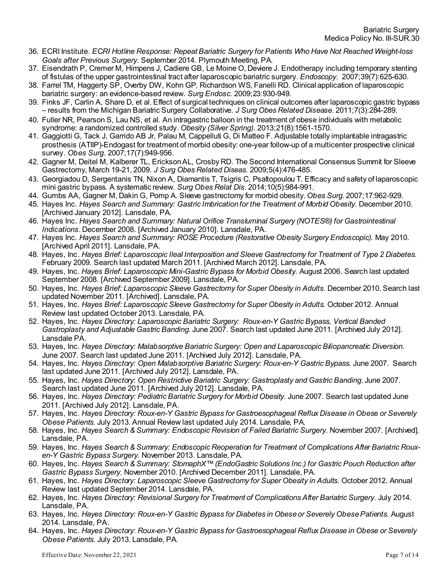- 36. ECRI Institute. *ECRI Hotline Response: Repeat Bariatric Surgery for Patients Who Have Not Reached Weight-loss Goals after Previous Surgery*. September 2014. Plymouth Meeting, PA.
- 37. Eisendrath P, Cremer M, Himpens J, Cadiere GB, Le Moine O, Deviere J. Endotherapy including temporary stenting of fistulas of the upper gastrointestinal tract after laparoscopic bariatric surgery. *Endoscopy*. 2007;39(7):625-630.
- 38. Farrel TM, Haggerty SP, Overby DW, Kohn GP, Richardson WS, Fanelli RD. Clinical application of laparoscopic bariatric surgery: an evidence-based review. *Surg Endosc*. 2009;23:930-949.
- 39. Finks JF, Carlin A, Share D, et al. Effect of surgical techniques on clinical outcomes after laparoscopic gastric bypass – results from the Michigan Bariatric Surgery Collaborative. *J Surg Obes Related Disease.* 2011;7(3):284-289.
- 40. Fuller NR, Pearson S, Lau NS, et al. An intragastric balloon in the treatment of obese individuals with metabolic syndrome: a randomized controlled study*. Obesity (Silver Spring).* 2013;21(8):1561-1570.
- 41. Gaggiotti G, Tack J, Garrido AB Jr, Palau M, Cappelluti G, Di Matteo F. Adjustable totally implantable intragastric prosthesis (ATIIP)-Endogast for treatment of morbid obesity: one-year follow-up of a multicenter prospective clinical survey. *Obes Surg*. 2007;17(7):949-956.
- 42. Gagner M, Deitel M, Kalberer TL, Erickson AL, Crosby RD. The Second International Consensus Summit for Sleeve Gastrectomy, March 19-21, 2009. *J Surg Obes Related Diseas*. 2009;5(4):476-485.
- 43. Georgiadou D, Sergentanis TN, Nixon A, Diamantis T, Tsigris C, Psaltopoulou T. Efficacy and safety of laparoscopic mini gastric bypass. A systematic review. *Surg Obes Relat Dis*. 2014;10(5):984-991.
- 44. Gumbs AA, Gagner M, Dakin G, Pomp A. Sleeve gastrectomy for morbid obesity. *Obes Surg*. 2007;17:962-929.
- 45. Hayes Inc. *Hayes Search and Summary: Gastric Imbrication for the Treatment of Morbid Obesity*. December 2010. [Archived January 2012]. Lansdale, PA.
- 46. Hayes Inc. *Hayes Search and Summary: Natural Orifice Transluminal Surgery (NOTES®) for Gastrointestinal Indications*. December 2008. [Archived January 2010]. Lansdale, PA.
- 47. Hayes Inc. *Hayes Search and Summary: ROSE Procedure (Restorative Obesity Surgery Endoscopic).* May 2010. [Archived April 2011]. Lansdale, PA.
- 48. Hayes, Inc. *Hayes Brief: Laparoscopic Ileal Interposition and Sleeve Gastrectomy for Treatment of Type 2 Diabetes.*  February 2009. Search last updated March 2011. [Archived March 2012]. Lansdale, PA.
- 49. Hayes, Inc. *Hayes Brief: Laparoscopic Mini-Gastric Bypass for Morbid Obesity.* August 2006. Search last updated September 2008. [Archived September 2009]. Lansdale, PA.
- 50. Hayes, Inc. *Hayes Brief: Laparoscopic Sleeve Gastrectomy for Super Obesity in Adults*. December 2010. Search last updated November 2011. [Archived]. Lansdale, PA.
- 51. Hayes, Inc. *Hayes Brief: Laparoscopic Sleeve Gastrectomy for Super Obesity in Adults.* October 2012. Annual Review last updated October 2013. Lansdale, PA.
- 52. Hayes, Inc. *Hayes Directory: Laparoscopic Bariatric Surgery: Roux-en-Y Gastric Bypass, Vertical Banded Gastroplasty and Adjustable Gastric Banding.* June 2007. Search last updated June 2011. [Archived July 2012]. Lansdale PA.
- 53. Hayes, Inc. *Hayes Directory: Malabsorptive Bariatric Surgery: Open and Laparoscopic Biliopancreatic Diversion.* June 2007. Search last updated June 2011. [Archived July 2012]. Lansdale, PA.
- 54. Hayes, Inc. *Hayes Directory: Open Malabsorptive Bariatric Surgery: Roux-en-Y Gastric Bypass.* June 2007. Search last updated June 2011. [Archived July 2012]. Lansdale, PA.
- 55. Hayes, Inc. *Hayes Directory: Open Restrictive Bariatric Surgery: Gastroplasty and Gastric Banding*. June 2007. Search last updated June 2011. [Archived July 2012]. Lansdale, PA.
- 56. Hayes, Inc. *Hayes Directory: Pediatric Bariatric Surgery for Morbid Obesity*. June 2007. Search last updated June 2011. [Archived July 2012]. Lansdale, PA.
- 57. Hayes, Inc. *Hayes Directory: Roux-en-Y Gastric Bypass for Gastroesophageal Reflux Disease in Obese or Severely Obese Patients*. July 2013. Annual Review last updated July 2014. Lansdale, PA.
- 58. Hayes, Inc. *Hayes Search & Summary: Endoscopic Revision of Failed Bariatric Surgery*. November 2007. [Archived]. Lansdale, PA.
- 59. Hayes, Inc. *Hayes Search & Summary: Endoscopic Reoperation for Treatment of Complications After Bariatric Rouxen-Y Gastric Bypass Surgery*. November 2013. Lansdale, PA.
- 60. Hayes, Inc. *Hayes Search & Summary: StomaphX™ (EndoGastric Solutions Inc.) for Gastric Pouch Reduction after Gastric Bypass Surgery*. November 2010. [Archived December 2011]. Lansdale, PA.
- 61. Hayes, Inc. *Hayes Directory: Laparoscopic Sleeve Gastrectomy for Super Obesity in Adults*. October 2012. Annual Review last updated September 2014. Lansdale, PA.
- 62. Hayes, Inc. *Hayes Directory: Revisional Surgery for Treatment of Complications After Bariatric Surgery*. July 2014. Lansdale, PA.
- 63. Hayes, Inc. *Hayes Directory: Roux-en-Y Gastric Bypass for Diabetes in Obese or Severely Obese Patients*. August 2014. Lansdale, PA.
- 64. Hayes, Inc. *Hayes Directory: Roux-en-Y Gastric Bypass for Gastroesophageal Reflux Disease in Obese or Severely Obese Patients*. July 2013. Lansdale, PA.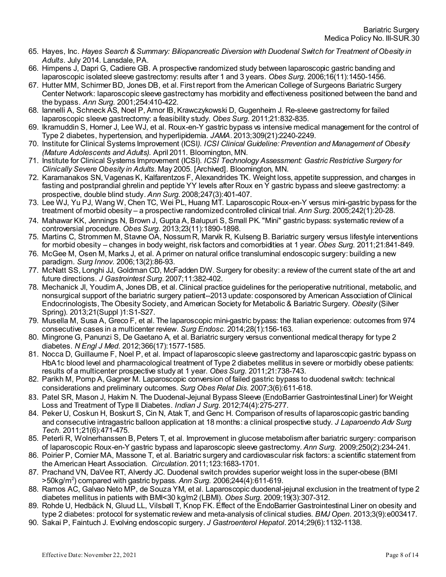- 65. Hayes, Inc. *Hayes Search & Summary: Biliopancreatic Diversion with Duodenal Switch for Treatment of Obesity in Adults*. July 2014. Lansdale, PA.
- 66. Himpens J, Dapri G, Cadiere GB. A prospective randomized study between laparoscopic gastric banding and laparoscopic isolated sleeve gastrectomy: results after 1 and 3 years. *Obes Surg*. 2006;16(11):1450-1456.
- 67. Hutter MM, Schirmer BD, Jones DB, et al. First report from the American College of Surgeons Bariatric Surgery Center Network: laparoscopic sleeve gastrectomy has morbidity and effectiveness positioned between the band and the bypass. *Ann Surg*. 2001;254:410-422.
- 68. Iannelli A, Schneck AS, Noel P, Amor IB, Krawczykowski D, Gugenheim J. Re-sleeve gastrectomy for failed laparoscopic sleeve gastrectomy: a feasibility study. *Obes Surg*. 2011;21:832-835.
- 69. Ikramuddin S, Horner J, Lee WJ, et al. Roux-en-Y gastric bypass vs intensive medical management for the control of Type 2 diabetes, hypertension, and hyperlipidemia. *JAMA*. 2013;309(21):2240-2249.
- 70. Institute for Clinical Systems Improvement (ICSI*). ICSI Clinical Guideline: Prevention and Management of Obesity (Mature Adolescents and Adults).* April 2011. Bloomington, MN.
- 71. Institute for Clinical Systems Improvement (ICSI). *ICSI Technology Assessment: Gastric Restrictive Surgery for Clinically Severe Obesity in Adults.* May 2005. [Archived]. Bloomington, MN.
- 72. Karamanakos SN, Vagenas K, Kalfarentzos F, Alexandrides TK. Weight loss, appetite suppression, and changes in fasting and postprandial ghrelin and peptide YY levels after Roux en Y gastric bypass and sleeve gastrectomy: a prospective, double blind study. *Ann Surg*. 2008;247(3):401-407.
- 73. Lee WJ, Yu PJ, Wang W, Chen TC, Wei PL, Huang MT. Laparoscopic Roux-en-Y versus mini-gastric bypass for the treatment of morbid obesity – a prospective randomized controlled clinical trial. *Ann Surg*. 2005;242(1):20-28.
- 74. Mahawar KK, Jennings N, Brown J, Gupta A, Balupuri S, Small PK. "Mini" gastric bypass: systematic review of a controversial procedure. *Obes Surg*. 2013;23(11):1890-1898.
- 75. Martins C, Strommen M, Stavne OA, Nossum R, Marvik R, Kulseng B. Bariatric surgery versus lifestyle interventions for morbid obesity – changes in body weight, risk factors and comorbidities at 1 year. *Obes Surg*. 2011;21:841-849.
- 76. McGee M, Osen M, Marks J, et al. A primer on natural orifice transluminal endoscopic surgery: building a new paradigm. *Surg Innov*. 2006;13(2):86-93.
- 77. McNatt SS, Longhi JJ, Goldman CD, McFadden DW. Surgery for obesity: a review of the current state of the art and future directions. *J Gastrointest Surg*. 2007;11:382-402.
- 78. Mechanick JI, Youdim A, Jones DB, et al. Clinical practice guidelines for the perioperative nutritional, metabolic, and nonsurgical support of the bariatric surgery patient--2013 update: cosponsored by American Association of Clinical Endocrinologists, The Obesity Society, and American Society for Metabolic & Bariatric Surgery. *Obesity* (Silver Spring). 2013;21(Suppl )1:S1-S27.
- 79. Musella M, Susa A, Greco F, et al. The laparoscopic mini-gastric bypass: the Italian experience: outcomes from 974 consecutive cases in a multicenter review. *Surg Endosc*. 2014;28(1):156-163.
- 80. Mingrone G, Panunzi S, De Gaetano A, et al. Bariatric surgery versus conventional medical therapy for type 2 diabetes. *N Engl J Med*. 2012;366(17):1577-1585.
- 81. Nocca D, Guillaume F, Noel P, et al. Impact of laparoscopic sleeve gastrectomy and laparoscopic gastric bypass on HbA1c blood level and pharmacological treatment of Type 2 diabetes mellitus in severe or morbidly obese patients: results of a multicenter prospective study at 1 year. *Obes Surg*. 2011;21:738-743.
- 82. Parikh M, Pomp A, Gagner M. Laparoscopic conversion of failed gastric bypass to duodenal switch: technical considerations and preliminary outcomes. *Surg Obes Relat Dis*. 2007;3(6):611-618.
- 83. Patel SR, Mason J, Hakim N. The Duodenal-Jejunal Bypass Sleeve (EndoBarrier Gastrointestinal Liner) for Weight Loss and Treatment of Type II Diabetes. *Indian J Surg*. 2012;74(4):275-277.
- 84. Peker U, Coskun H, Boskurt S, Cin N, Atak T, and Genc H. Comparison of results of laparoscopic gastric banding and consecutive intragastric balloon application at 18 months: a clinical prospective study. *J Laparoendo Adv Surg Tech*. 2011;21(6):471-475.
- 85. Peterli R, Wolnerhanssen B, Peters T, et al. Improvement in glucose metabolism after bariatric surgery: comparison of laparoscopic Roux-en-Y gastric bypass and laparoscopic sleeve gastrectomy. *Ann Surg*. 2009;250(2):234-241.
- 86. Poirier P, Cornier MA, Massone T, et al. Bariatric surgery and cardiovascular risk factors: a scientific statement from the American Heart Association. *Circulation*. 2011;123:1683-1701.
- 87. Prachand VN, DaVee RT, Alverdy JC. Duodenal switch provides superior weight loss in the super-obese (BMI >50kg/m2 ) compared with gastric bypass. *Ann Surg.* 2006;244(4):611-619.
- 88. Ramos AC, Galvao Neto MP, de Souza YM, et al. Laparoscopic duodenal-jejunal exclusion in the treatment of type 2 diabetes mellitus in patients with BMI<30 kg/m2 (LBMI). *Obes Surg*. 2009;19(3):307-312.
- 89. Rohde U, Hedbäck N, Gluud LL, Vilsbøll T, Knop FK. Effect of the EndoBarrier Gastrointestinal Liner on obesity and type 2 diabetes: protocol for systematic review and meta-analysis of clinical studies. *BMJ Open*. 2013;3(9):e003417.
- 90. Sakai P, Faintuch J. Evolving endoscopic surgery. *J Gastroenterol Hepatol*. 2014;29(6):1132-1138.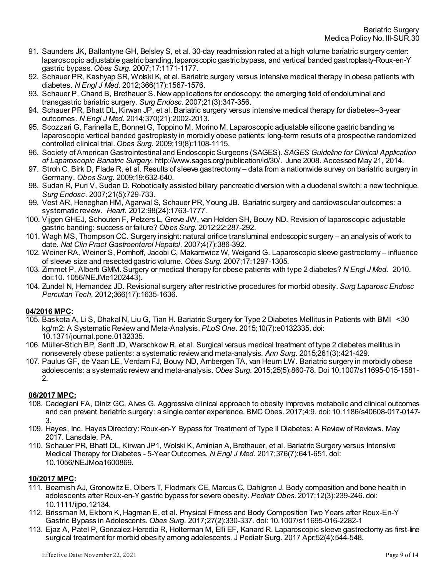- 91. Saunders JK, Ballantyne GH, Belsley S, et al. 30-day readmission rated at a high volume bariatric surgery center: laparoscopic adjustable gastric banding, laparoscopic gastric bypass, and vertical banded gastroplasty-Roux-en-Y gastric bypass. *Obes Surg*. 2007;17:1171-1177.
- 92. Schauer PR, Kashyap SR, Wolski K, et al. Bariatric surgery versus intensive medical therapy in obese patients with diabetes. *N Engl J Med*. 2012;366(17):1567-1576.
- 93. Schauer P, Chand B, Brethauer S. New applications for endoscopy: the emerging field of endoluminal and transgastric bariatric surgery. *Surg Endosc*. 2007;21(3):347-356.
- 94. Schauer PR, Bhatt DL, Kirwan JP, et al. Bariatric surgery versus intensive medical therapy for diabetes--3-year outcomes. *N Engl J Med*. 2014;370(21):2002-2013.
- 95. Scozzari G, Farinella E, Bonnet G, Toppino M, Morino M. Laparoscopic adjustable silicone gastric banding vs laparoscopic vertical banded gastroplasty in morbidly obese patients: long-term results of a prospective randomized controlled clinical trial. *Obes Surg*. 2009;19(8):1108-1115.
- 96. Society of American Gastrointestinal and Endoscopic Surgeons (SAGES). *SAGES Guideline for Clinical Application of Laparoscopic Bariatric Surgery*[. http://www.sages.org/publication/id/30/](http://www.sages.org/publication/id/30/). June 2008. Accessed May 21, 2014.
- 97. Stroh C, Birk D, Flade R, et al. Results of sleeve gastrectomy data from a nationwide survey on bariatric surgery in Germany. *Obes Surg*. 2009;19:632-640.
- 98. Sudan R, Puri V, Sudan D. Robotically assisted biliary pancreatic diversion with a duodenal switch: a new technique. *Surg Endosc*. 2007;21(5):729-733.
- 99. Vest AR, Heneghan HM, Agarwal S, Schauer PR, Young JB. Bariatric surgery and cardiovascular outcomes: a systematic review. *Heart*. 2012:98(24):1763-1777.
- 100. Vijgen GHEJ, Schouten F, Pelzers L, Greve JW, van Helden SH, Bouvy ND. Revision of laparoscopic adjustable gastric banding: success or failure? *Obes Surg*. 2012;22:287-292.
- 101. Wagh MS, Thompson CC. Surgery insight: natural orifice transluminal endoscopic surgery an analysis of work to date. *Nat Clin Pract Gastroenterol Hepatol*. 2007;4(7):386-392.
- 102. Weiner RA, Weiner S, Pomhoff, Jacobi C, Makarewicz W, Weigand G. Laparoscopic sleeve gastrectomy influence of sleeve size and resected gastric volume. *Obes Surg*. 2007;17:1297-1305*.*
- 103. Zimmet P, Alberti GMM. Surgery or medical therapy for obese patients with type 2 diabetes? *N Engl J Med*. 2010. doi:10. 1056/NEJMe1202443).
- 104. Zundel N, Hernandez JD. Revisional surgery after restrictive procedures for morbid obesity. *Surg Laparosc Endosc Percutan Tech*. 2012;366(17):1635-1636.

## **04/2016 MPC:**

- 105. Baskota A, Li S, Dhakal N, Liu G, Tian H. Bariatric Surgery for Type 2 Diabetes Mellitus in Patients with BMI <30 kg/m2: A Systematic Review and Meta-Analysis. *PLoS One*. 2015;10(7):e0132335. doi: 10.1371/journal.pone.0132335.
- 106. Müller-Stich BP, Senft JD, Warschkow R, et al. Surgical versus medical treatment of type 2 diabetes mellitus in nonseverely obese patients: a systematic review and meta-analysis. *Ann Surg*. 2015;261(3):421-429.
- 107. Paulus GF, de Vaan LE, Verdam FJ, Bouvy ND, Ambergen TA, van Heurn LW. Bariatric surgery in morbidly obese adolescents: a systematic review and meta-analysis. *Obes Surg*. 2015;25(5):860-78. Doi 10.1007/s11695-015-1581- 2.

## **06/2017 MPC:**

- 108. Cadegiani FA, Diniz GC, Alves G. Aggressive clinical approach to obesity improves metabolic and clinical outcomes and can prevent bariatric surgery: a single center experience. BMC Obes. 2017;4:9. doi: 10.1186/s40608-017-0147- 3.
- 109. Hayes, Inc. Hayes Directory: Roux-en-Y Bypass for Treatment of Type II Diabetes: A Review of Reviews. May 2017. Lansdale, PA.
- 110. Schauer PR, Bhatt DL, Kirwan JP1, Wolski K, Aminian A, Brethauer, et al. Bariatric Surgery versus Intensive Medical Therapy for Diabetes - 5-Year Outcomes. *N Engl J Med*. 2017;376(7):641-651. doi: 10.1056/NEJMoa1600869.

# **10/2017 MPC:**

- 111. Beamish AJ, Gronowitz E, Olbers T, Flodmark CE, Marcus C, Dahlgren J. Body composition and bone health in adolescents after Roux-en-Y gastric bypass for severe obesity. *Pediatr Obes*. 2017;12(3):239-246. doi: 10.1111/ijpo.12134.
- 112. Brissman M, Ekbom K, Hagman E, et al. Physical Fitness and Body Composition Two Years after Roux-En-Y Gastric Bypass in Adolescents. *Obes Surg*. 2017;27(2):330-337. doi: 10.1007/s11695-016-2282-1
- 113. Ejaz A, Patel P, Gonzalez-Heredia R, Holterman M, Elli EF, Kanard R. Laparoscopic sleeve gastrectomy as first-line surgical treatment for morbid obesity among adolescents. J Pediatr Surg. 2017 Apr;52(4):544-548.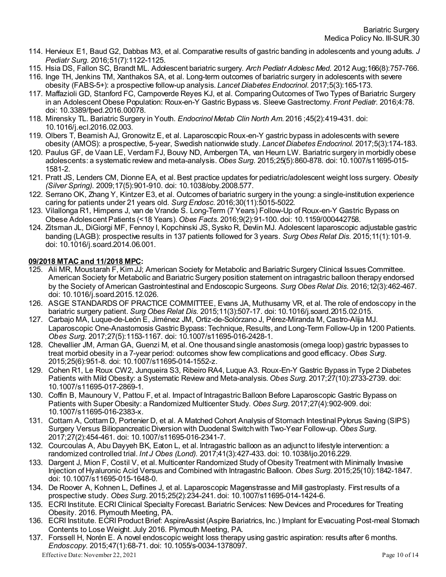- 114. Hervieux E1, Baud G2, Dabbas M3, et al. Comparative results of gastric banding in adolescents and young adults. *J Pediatr Surg*. 2016;51(7):1122-1125.
- 115. Hsia DS, Fallon SC, Brandt ML. Adolescent bariatric surgery. *Arch Pediatr Adolesc Med*. 2012 Aug;166(8):757-766.
- 116. Inge TH, Jenkins TM, Xanthakos SA, et al. Long-term outcomes of bariatric surgery in adolescents with severe obesity (FABS-5+): a prospective follow-up analysis. *Lancet Diabetes Endocrinol.* 2017;5(3):165-173.
- 117. Maffazioli GD, Stanford FC, Campoverde Reyes KJ, et al. Comparing Outcomes of Two Types of Bariatric Surgery in an Adolescent Obese Population: Roux-en-Y Gastric Bypass vs. Sleeve Gastrectomy. *Front Pediatr*. 2016;4:78. doi: 10.3389/fped.2016.00078.
- 118. Mirensky TL. Bariatric Surgery in Youth. *Endocrinol Metab Clin North Am*. 2016 ;45(2):419-431. doi: 10.1016/j.ecl.2016.02.003.
- 119. Olbers T, Beamish AJ, Gronowitz E, et al. Laparoscopic Roux-en-Y gastric bypass in adolescents with severe obesity (AMOS): a prospective, 5-year, Swedish nationwide study. *Lancet Diabetes Endocrinol*. 2017;5(3):174-183.
- 120. Paulus GF, de Vaan LE, Verdam FJ, Bouvy ND, Ambergen TA, van Heurn LW. Bariatric surgery in morbidly obese adolescents: a systematic review and meta-analysis. *Obes Surg*. 2015;25(5):860-878. doi: 10.1007/s11695-015- 1581-2.
- 121. Pratt JS, Lenders CM, Dionne EA, et al. Best practice updates for pediatric/adolescent weight loss surgery. *Obesity (Silver Spring).* 2009;17(5):901-910. doi: 10.1038/oby.2008.577.
- 122. Serrano OK, Zhang Y, Kintzer E3, et al. Outcomes of bariatric surgery in the young: a single-institution experience caring for patients under 21 years old. *Surg Endosc*. 2016;30(11):5015-5022.
- 123. Vilallonga R1, Himpens J, van de Vrande S. Long-Term (7 Years) Follow-Up of Roux-en-Y Gastric Bypass on Obese Adolescent Patients (<18 Years). *Obes Facts*. 2016;9(2):91-100. doi: 10.1159/000442758.
- 124. Zitsman JL, DiGiorgi MF, Fennoy I, Kopchinski JS, Sysko R, Devlin MJ. Adolescent laparoscopic adjustable gastric banding (LAGB): prospective results in 137 patients followed for 3 years. *Surg Obes Relat Dis*. 2015;11(1):101-9. doi: 10.1016/j.soard.2014.06.001.

# **09/2018 MTAC and 11/2018 MPC:**

- 125. Ali MR, Moustarah F, Kim JJ; American Society for Metabolic and Bariatric Surgery Clinical Issues Committee. American Society for Metabolic and Bariatric Surgery position statement on intragastric balloon therapy endorsed by the Society of American Gastrointestinal and Endoscopic Surgeons. *Surg Obes Relat Dis*. 2016;12(3):462-467. doi: 10.1016/j.soard.2015.12.026.
- 126. ASGE STANDARDS OF PRACTICE COMMITTEE, Evans JA, Muthusamy VR, et al. The role of endoscopy in the bariatric surgery patient. *Surg Obes Relat Dis*. 2015;11(3):507-17. doi: 10.1016/j.soard.2015.02.015.
- 127. Carbajo MA, Luque-de-León E, Jiménez JM, Ortiz-de-Solórzano J, Pérez-Miranda M, Castro-Alija MJ. Laparoscopic One-Anastomosis Gastric Bypass: Technique, Results, and Long-Term Follow-Up in 1200 Patients. *Obes Surg*. 2017;27(5):1153-1167. doi: 10.1007/s11695-016-2428-1.
- 128. Chevallier JM, Arman GA, Guenzi M, et al. One thousand single anastomosis (omega loop) gastric bypasses to treat morbid obesity in a 7-year period: outcomes show few complications and good efficacy. *Obes Surg*. 2015;25(6):951-8. doi: 10.1007/s11695-014-1552-z.
- 129. Cohen R1, Le Roux CW2, Junqueira S3, Ribeiro RA4, Luque A3. Roux-En-Y Gastric Bypass in Type 2 Diabetes Patients with Mild Obesity: a Systematic Review and Meta-analysis. *Obes Surg*. 2017;27(10):2733-2739. doi: 10.1007/s11695-017-2869-1.
- 130. Coffin B, Maunoury V, Pattou F, et al. Impact of Intragastric Balloon Before Laparoscopic Gastric Bypass on Patients with Super Obesity: a Randomized Multicenter Study. *Obes Surg*. 2017;27(4):902-909. doi: 10.1007/s11695-016-2383-x.
- 131. Cottam A, Cottam D, Portenier D, et al. A Matched Cohort Analysis of Stomach Intestinal Pylorus Saving (SIPS) Surgery Versus Biliopancreatic Diversion with Duodenal Switch with Two-Year Follow-up. *Obes Surg*. 2017;27(2):454-461. doi: 10.1007/s11695-016-2341-7.
- 132. Courcoulas A, Abu Dayyeh BK, Eaton L, et al. Intragastric balloon as an adjunct to lifestyle intervention: a randomized controlled trial. *Int J Obes (Lond).* 2017;41(3):427-433. doi: 10.1038/ijo.2016.229.
- 133. Dargent J, Mion F, Costil V, et al. Multicenter Randomized Study of Obesity Treatment with Minimally Invasive Injection of Hyaluronic Acid Versus and Combined with Intragastric Balloon. *Obes Surg*. 2015;25(10):1842-1847. doi: 10.1007/s11695-015-1648-0.
- 134. De Roover A, Kohnen L, Deflines J, et al. Laparoscopic Magenstrasse and Mill gastroplasty. First results of a prospective study. *Obes Surg*. 2015;25(2):234-241. doi: 10.1007/s11695-014-1424-6.
- 135. ECRI Institute. ECRI Clinical Specialty Forecast. Bariatric Services: New Devices and Procedures for Treating Obesity. 2016. Plymouth Meeting, PA.
- 136. ECRI Institute. ECRI Product Brief: AspireAssist (Aspire Bariatrics, Inc.) Implant for Evacuating Post-meal Stomach Contents to Lose Weight. July 2016. Plymouth Meeting, PA.
- Effective Date: November 22, 2021 Page 10 of 14 137. Forssell H, Norén E. A novel endoscopic weight loss therapy using gastric aspiration: results after 6 months. *Endoscopy*. 2015;47(1):68-71. doi: 10.1055/s-0034-1378097.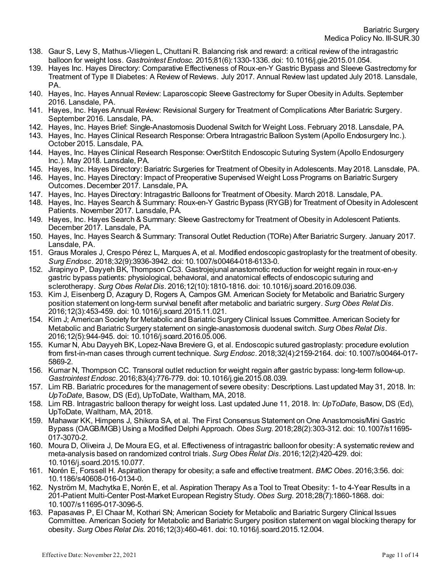- 138. Gaur S, Levy S, Mathus-Vliegen L, Chuttani R. Balancing risk and reward: a critical review of the intragastric balloon for weight loss. *Gastrointest Endosc*. 2015;81(6):1330-1336. doi: 10.1016/j.gie.2015.01.054.
- 139. Hayes Inc. Hayes Directory: Comparative Effectiveness of Roux-en-Y Gastric Bypass and Sleeve Gastrectomy for Treatment of Type II Diabetes: A Review of Reviews. July 2017. Annual Review last updated July 2018. Lansdale, PA.
- 140. Hayes, Inc. Hayes Annual Review: Laparoscopic Sleeve Gastrectomy for Super Obesity in Adults. September 2016. Lansdale, PA.
- 141. Hayes, Inc. Hayes Annual Review: Revisional Surgery for Treatment of Complications After Bariatric Surgery. September 2016. Lansdale, PA.
- 142. Hayes, Inc. Hayes Brief: Single-Anastomosis Duodenal Switch for Weight Loss. February 2018. Lansdale, PA.
- 143. Hayes, Inc. Hayes Clinical Research Response: Orbera Intragastric Balloon System (Apollo Endosurgery Inc.). October 2015. Lansdale, PA.
- 144. Hayes, Inc. Hayes Clinical Research Response: OverStitch Endoscopic Suturing System (Apollo Endosurgery Inc.). May 2018. Lansdale, PA.
- 145. Hayes, Inc. Hayes Directory: Bariatric Surgeries for Treatment of Obesity in Adolescents. May 2018. Lansdale, PA.
- 146. Hayes, Inc. Hayes Directory: Impact of Preoperative Supervised Weight Loss Programs on Bariatric Surgery Outcomes. December 2017. Lansdale, PA.
- 147. Hayes, Inc. Hayes Directory: Intragastric Balloons for Treatment of Obesity. March 2018. Lansdale, PA.
- 148. Hayes, Inc. Hayes Search & Summary: Roux-en-Y Gastric Bypass (RYGB) for Treatment of Obesity in Adolescent Patients. November 2017. Lansdale, PA.
- 149. Hayes, Inc. Hayes Search & Summary: Sleeve Gastrectomy for Treatment of Obesity in Adolescent Patients. December 2017. Lansdale, PA.
- 150. Hayes, Inc. Hayes Search & Summary: Transoral Outlet Reduction (TORe) After Bariatric Surgery. January 2017. Lansdale, PA.
- 151. Graus Morales J, Crespo Pérez L, Marques A, et al. Modified endoscopic gastroplasty for the treatment of obesity. *Surg Endosc*. 2018;32(9):3936-3942. doi: 10.1007/s00464-018-6133-0.
- 152. Jirapinyo P, Dayyeh BK, Thompson CC3. Gastrojejunal anastomotic reduction for weight regain in roux-en-y gastric bypass patients: physiological, behavioral, and anatomical effects of endoscopic suturing and sclerotherapy. *Surg Obes Relat Dis*. 2016;12(10):1810-1816. doi: 10.1016/j.soard.2016.09.036.
- 153. Kim J, Eisenberg D, Azagury D, Rogers A, Campos GM. American Society for Metabolic and Bariatric Surgery position statement on long-term survival benefit after metabolic and bariatric surgery. *Surg Obes Relat Dis*. 2016;12(3):453-459. doi: 10.1016/j.soard.2015.11.021.
- 154. Kim J; American Society for Metabolic and Bariatric Surgery Clinical Issues Committee. American Society for Metabolic and Bariatric Surgery statement on single-anastomosis duodenal switch. *Surg Obes Relat Dis*. 2016;12(5):944-945. doi: 10.1016/j.soard.2016.05.006.
- 155. Kumar N, Abu Dayyeh BK, Lopez-Nava Breviere G, et al. Endoscopic sutured gastroplasty: procedure evolution from first-in-man cases through current technique. *Surg Endosc*. 2018;32(4):2159-2164. doi: 10.1007/s00464-017- 5869-2.
- 156. Kumar N, Thompson CC. Transoral outlet reduction for weight regain after gastric bypass: long-term follow-up. *Gastrointest Endosc*. 2016;83(4):776-779. doi: 10.1016/j.gie.2015.08.039.
- 157. Lim RB. Bariatric procedures for the management of severe obesity: Descriptions. Last updated May 31, 2018. In: *UpToDate*, Basow, DS (Ed), UpToDate, Waltham, MA, 2018.
- 158. Lim RB. Intragastric balloon therapy for weight loss. Last updated June 11, 2018. In: *UpToDate*, Basow, DS (Ed), UpToDate, Waltham, MA, 2018.
- 159. Mahawar KK, Himpens J, Shikora SA, et al. The First Consensus Statement on One Anastomosis/Mini Gastric Bypass (OAGB/MGB) Using a Modified Delphi Approach. *Obes Surg*. 2018;28(2):303-312. doi: 10.1007/s11695- 017-3070-2.
- 160. Moura D, Oliveira J, De Moura EG, et al. Effectiveness of intragastric balloon for obesity: A systematic review and meta-analysis based on randomized control trials. *Surg Obes Relat Dis*. 2016;12(2):420-429. doi: 10.1016/j.soard.2015.10.077.
- 161. Norén E, Forssell H. Aspiration therapy for obesity; a safe and effective treatment. *BMC Obes*. 2016;3:56. doi: 10.1186/s40608-016-0134-0.
- 162. Nyström M, Machytka E, Norén E, et al. Aspiration Therapy As a Tool to Treat Obesity: 1- to 4-Year Results in a 201-Patient Multi-Center Post-Market European Registry Study. *Obes Surg*. 2018;28(7):1860-1868. doi: 10.1007/s11695-017-3096-5.
- 163. Papasavas P, El Chaar M, Kothari SN; American Society for Metabolic and Bariatric Surgery Clinical Issues Committee. American Society for Metabolic and Bariatric Surgery position statement on vagal blocking therapy for obesity. *Surg Obes Relat Dis*. 2016;12(3):460-461. doi: 10.1016/j.soard.2015.12.004.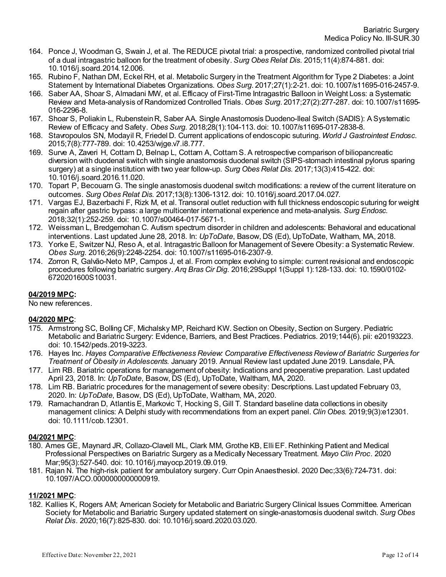- 164. Ponce J, Woodman G, Swain J, et al. The REDUCE pivotal trial: a prospective, randomized controlled pivotal trial of a dual intragastric balloon for the treatment of obesity. *Surg Obes Relat Dis*. 2015;11(4):874-881. doi: 10.1016/j.soard.2014.12.006.
- 165. Rubino F, Nathan DM, Eckel RH, et al. Metabolic Surgery in the Treatment Algorithm for Type 2 Diabetes: a Joint Statement by International Diabetes Organizations. *Obes Surg*. 2017;27(1):2-21. doi: 10.1007/s11695-016-2457-9.
- 166. Saber AA, Shoar S, Almadani MW, et al. Efficacy of First-Time Intragastric Balloon in Weight Loss: a Systematic Review and Meta-analysis of Randomized Controlled Trials. *Obes Surg*. 2017;27(2):277-287. doi: 10.1007/s11695- 016-2296-8.
- 167. Shoar S, Poliakin L, Rubenstein R, Saber AA. Single Anastomosis Duodeno-Ileal Switch (SADIS): A Systematic Review of Efficacy and Safety. *Obes Surg*. 2018;28(1):104-113. doi: 10.1007/s11695-017-2838-8.
- 168. Stavropoulos SN, Modayil R, Friedel D. Current applications of endoscopic suturing. *World J Gastrointest Endosc*. 2015;7(8):777-789. doi: 10.4253/wjge.v7.i8.777.
- 169. Surve A, Zaveri H, Cottam D, Belnap L, Cottam A, Cottam S. A retrospective comparison of biliopancreatic diversion with duodenal switch with single anastomosis duodenal switch (SIPS-stomach intestinal pylorus sparing surgery) at a single institution with two year follow-up. *Surg Obes Relat Dis*. 2017;13(3):415-422. doi: 10.1016/j.soard.2016.11.020.
- 170. Topart P, Becouarn G. The single anastomosis duodenal switch modifications: a review of the current literature on outcomes. *Surg Obes Relat Dis*. 2017;13(8):1306-1312. doi: 10.1016/j.soard.2017.04.027.
- 171. Vargas EJ, Bazerbachi F, Rizk M, et al. Transoral outlet reduction with full thickness endoscopic suturing for weight regain after gastric bypass: a large multicenter international experience and meta-analysis. *Surg Endosc*. 2018;32(1):252-259. doi: 10.1007/s00464-017-5671-1.
- 172. Weissman L, Bredgemohan C. Autism spectrum disorder in children and adolescents: Behavioral and educational interventions. Last updated June 28, 2018. In: *UpToDate*, Basow, DS (Ed), UpToDate, Waltham, MA, 2018.
- 173. Yorke E, Switzer NJ, Reso A, et al. Intragastric Balloon for Management of Severe Obesity: a Systematic Review. *Obes Surg*. 2016;26(9):2248-2254. doi: 10.1007/s11695-016-2307-9.
- 174. Zorron R, Galvão-Neto MP, Campos J, et al. From complex evolving to simple: current revisional and endoscopic procedures following bariatric surgery. *Arq Bras Cir Dig*. 2016;29Suppl 1(Suppl 1):128-133. doi: 10.1590/0102- 6720201600S10031.

# **04/2019 MPC:**

No new references.

## **04/2020 MPC**:

- 175. Armstrong SC, Bolling CF, Michalsky MP, Reichard KW. Section on Obesity, Section on Surgery. Pediatric Metabolic and Bariatric Surgery: Evidence, Barriers, and Best Practices. Pediatrics. 2019;144(6). pii: e20193223. doi: 10.1542/peds.2019-3223.
- 176. Hayes Inc. *Hayes Comparative Effectiveness Review: Comparative Effectiveness Review of Bariatric Surgeries for Treatment of Obesity in Adolescents.* January 2019. Annual Review last updated June 2019. Lansdale, PA.
- 177. Lim RB. Bariatric operations for management of obesity: Indications and preoperative preparation. Last updated April 23, 2018. In: *UpToDate*, Basow, DS (Ed), UpToDate, Waltham, MA, 2020.
- 178. Lim RB. Bariatric procedures for the management of severe obesity: Descriptions. Last updated February 03, 2020. In: *UpToDate*, Basow, DS (Ed), UpToDate, Waltham, MA, 2020.
- 179. Ramachandran D, Atlantis E, Markovic T, Hocking S, Gill T. Standard baseline data collections in obesity management clinics: A Delphi study with recommendations from an expert panel. *Clin Obes.* 2019;9(3):e12301. doi: 10.1111/cob.12301.

## **04/2021 MPC**:

- 180. Ames GE, Maynard JR, Collazo-Clavell ML, Clark MM, Grothe KB, Elli EF. Rethinking Patient and Medical Professional Perspectives on Bariatric Surgery as a Medically Necessary Treatment. *Mayo Clin Proc*. 2020 Mar;95(3):527-540. doi: 10.1016/j.mayocp.2019.09.019.
- 181. Rajan N. The high-risk patient for ambulatory surgery. Curr Opin Anaesthesiol. 2020 Dec;33(6):724-731. doi: 10.1097/ACO.0000000000000919.

## **11/2021 MPC**:

182. Kallies K, Rogers AM; American Society for Metabolic and Bariatric Surgery Clinical Issues Committee. American Society for Metabolic and Bariatric Surgery updated statement on single-anastomosis duodenal switch. *Surg Obes Relat Dis*. 2020;16(7):825-830. doi: 10.1016/j.soard.2020.03.020.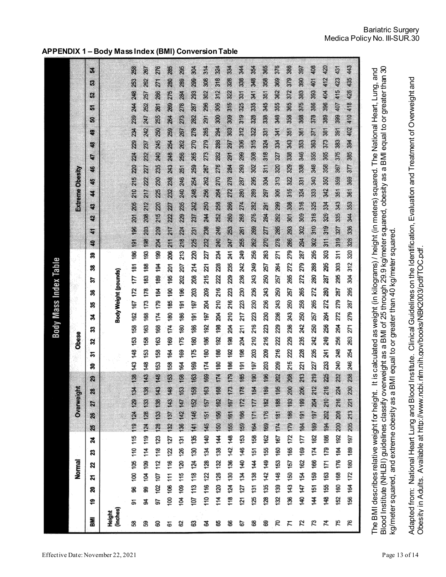|                              | <b>Bariatric Surgery</b> |  |  |
|------------------------------|--------------------------|--|--|
| Medica Policy No. III-SUR.30 |                          |  |  |

**APPENDIX 1 – Body Mass Index (BMI) Conversion Table**

|                                                    | 110 116 122 128 134 140 145 151 157 163 169 174 180 190 190 190 204 209 215 221 222 238 244 250 250 250 267 273 273 273 285 291 298 302 303<br>121 124 140 146 159 159 166 172 178 185 191 198 204 211 212 220 230 242 249 255 261 268 274 280 287 299 309 308 312 313 325 331 338 344<br>132 137 143 143 153 154 164 169 174 180 185 190 195 201 206 211 217 222 227 232 233 243 243 254 259 264 269 275 280 285<br>174 181 188 195 202 209 216 222 229 236 243 250 257 264 271 278 285 292 299 306 313 320 321 334 341 348 355 363<br>148 153 163 163 164 174 179 184 199 194 199 200 215 200 215 220 225 230 235 240 245 250 255 261 268 271<br>124 130 136 142 148 155 161 167 173 179 166 192 198 204 210 216 223 229 235 241 247 253 260 266<br>150 156 162 168 174 180 186 192 198 204 210 216 222 228<br>107 113 118 124 130 135 141 146 152 158 163 163 169 175 180 186 191 197 203<br>169 176 182 189 196 203 209<br>131 138 144 151 158 164 171 177 184 190 197<br>Overweight<br>$\boldsymbol{\mathcal{Z}}$<br>119 124 129 134<br>124 128 133 138<br>128 133 138 143<br>136 142 147 153<br>21<br>26<br>25<br>132 139 146 153 160 167<br>114 120 126 132 138 144<br>128 135 142 149 155 162<br>100 105 110 115<br>104 109 114 119<br>102 107 112 118 123<br>100 106 111 116 122 127<br>104 109 115 120 126 131<br>2<br>Z<br>Normal<br>2<br>X, | 219 227 235 242 250 257 265 272 280 288 295 302 310 318 325 333 340 348 355 363 371 378 386 393 401 408<br>208 215 222<br>184 191 199 206 213 221<br>155 163 171 179 186 194 202 210 218 225 233<br>179 186 193 200<br>189 197 204 212<br>144 151 159 166 174 182<br>136 143 150 157 165 172<br>169 177<br>147 154 162 | 152 160 168 176 184 192 200 208 216 224 232 240 248 256 264 272 279 287 295 303 311 319 327 335 343 351 352 367 375 383 391 399 407 415 423 431<br>156 164 172 180 189 197 205 213 221 230 238 246 254 |
|----------------------------------------------------|---------------------------------------------------------------------------------------------------------------------------------------------------------------------------------------------------------------------------------------------------------------------------------------------------------------------------------------------------------------------------------------------------------------------------------------------------------------------------------------------------------------------------------------------------------------------------------------------------------------------------------------------------------------------------------------------------------------------------------------------------------------------------------------------------------------------------------------------------------------------------------------------------------------------------------------------------------------------------------------------------------------------------------------------------------------------------------------------------------------------------------------------------------------------------------------------------------------------------------------------------------------------------------------------------------------------------------------------------------|------------------------------------------------------------------------------------------------------------------------------------------------------------------------------------------------------------------------------------------------------------------------------------------------------------------------|--------------------------------------------------------------------------------------------------------------------------------------------------------------------------------------------------------|
|                                                    |                                                                                                                                                                                                                                                                                                                                                                                                                                                                                                                                                                                                                                                                                                                                                                                                                                                                                                                                                                                                                                                                                                                                                                                                                                                                                                                                                         |                                                                                                                                                                                                                                                                                                                        |                                                                                                                                                                                                        |
|                                                    |                                                                                                                                                                                                                                                                                                                                                                                                                                                                                                                                                                                                                                                                                                                                                                                                                                                                                                                                                                                                                                                                                                                                                                                                                                                                                                                                                         |                                                                                                                                                                                                                                                                                                                        |                                                                                                                                                                                                        |
|                                                    |                                                                                                                                                                                                                                                                                                                                                                                                                                                                                                                                                                                                                                                                                                                                                                                                                                                                                                                                                                                                                                                                                                                                                                                                                                                                                                                                                         |                                                                                                                                                                                                                                                                                                                        |                                                                                                                                                                                                        |
|                                                    | 98<br>99<br>ສ                                                                                                                                                                                                                                                                                                                                                                                                                                                                                                                                                                                                                                                                                                                                                                                                                                                                                                                                                                                                                                                                                                                                                                                                                                                                                                                                           |                                                                                                                                                                                                                                                                                                                        |                                                                                                                                                                                                        |
| ≇<br>≇<br>125<br>118<br>र्वे<br>55<br>ă,<br>ę<br>5 |                                                                                                                                                                                                                                                                                                                                                                                                                                                                                                                                                                                                                                                                                                                                                                                                                                                                                                                                                                                                                                                                                                                                                                                                                                                                                                                                                         |                                                                                                                                                                                                                                                                                                                        |                                                                                                                                                                                                        |

The BMI describes relative weight for height.\_It is calculated as weight (in kilograms) / height (in meters) squared. The National Heart, Lung, and<br>Blood Institute (NHLBI) guidelines classify overweight as a BMI of 25 thro Adapted from: National Heart Lung and Blood Institute. Clinical Guidelines on the Identification, Evaluation and Treatment of Overweight and Adapted from: National Heart Lung and Blood Institute. Clinical Guidelines on the Identification, Evaluation and Treatment of Overweight and<br>Obesity in Adults. Available at http://www.ncbi.nlm.nih.gov/books/NBK2003/pdf/TOC kg/meter squared, and extreme obesity as a BMI equal to or greater than 40 kg/meter squared.

Obesity in Adults. Available at http://www.ncbi.nlm.nih.gov/books/NBK2003/pdf/TOC.pdf.

Blood Institute (NHLBI) guidelines classify overweight as a BMI of 25 through 29.9 kg/meter squared, obesity as a BMI equal to or greater than 30